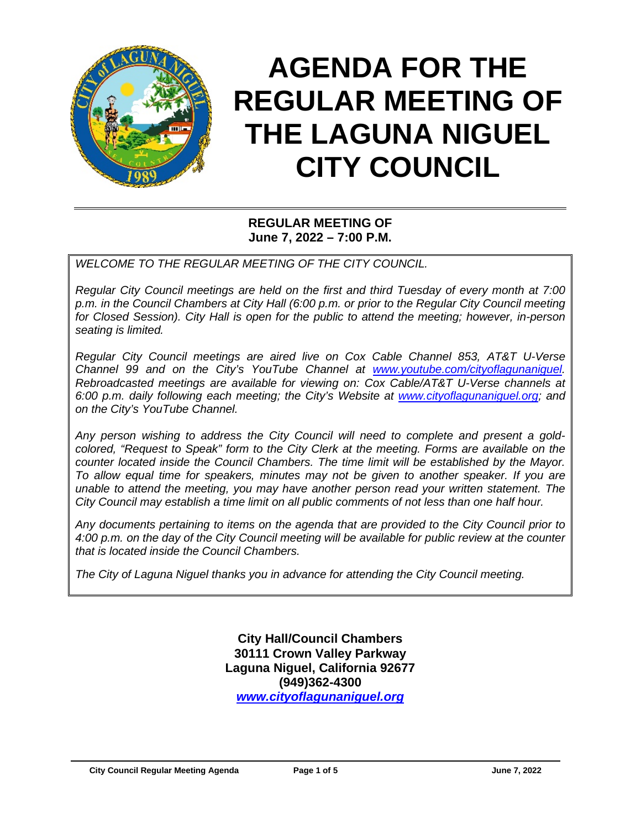

# **AGENDA FOR THE REGULAR MEETING OF THE LAGUNA NIGUEL CITY COUNCIL**

## **REGULAR MEETING OF June 7, 2022 – 7:00 P.M.**

*WELCOME TO THE REGULAR MEETING OF THE CITY COUNCIL.*

*Regular City Council meetings are held on the first and third Tuesday of every month at 7:00 p.m. in the Council Chambers at City Hall (6:00 p.m. or prior to the Regular City Council meeting for Closed Session). City Hall is open for the public to attend the meeting; however, in-person seating is limited.* 

*Regular City Council meetings are aired live on Cox Cable Channel 853, AT&T U-Verse Channel 99 and on the City's YouTube Channel at [www.youtube.com/cityoflagunaniguel.](http://www.youtube.com/cityoflagunaniguel) Rebroadcasted meetings are available for viewing on: Cox Cable/AT&T U-Verse channels at 6:00 p.m. daily following each meeting; the City's Website at [www.cityoflagunaniguel.org;](http://www.cityoflagunaniguel.org/) and on the City's YouTube Channel.*

*Any person wishing to address the City Council will need to complete and present a goldcolored, "Request to Speak" form to the City Clerk at the meeting. Forms are available on the counter located inside the Council Chambers. The time limit will be established by the Mayor. To allow equal time for speakers, minutes may not be given to another speaker. If you are unable to attend the meeting, you may have another person read your written statement. The City Council may establish a time limit on all public comments of not less than one half hour.* 

*Any documents pertaining to items on the agenda that are provided to the City Council prior to 4:00 p.m. on the day of the City Council meeting will be available for public review at the counter that is located inside the Council Chambers.*

*The City of Laguna Niguel thanks you in advance for attending the City Council meeting.* 

**City Hall/Council Chambers 30111 Crown Valley Parkway Laguna Niguel, California 92677 (949)362-4300** *[www.cityoflagunaniguel.org](http://www.cityoflagunaniguel.org/)*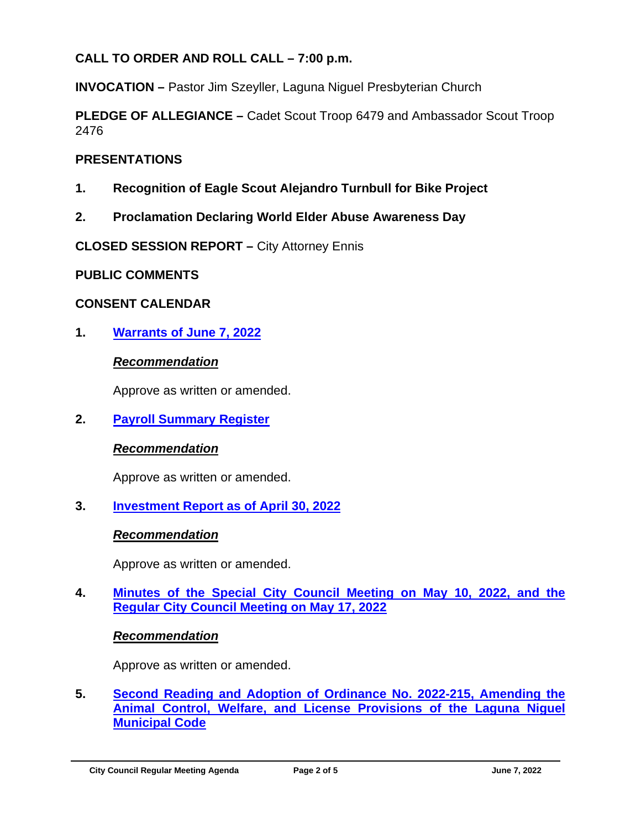# **CALL TO ORDER AND ROLL CALL – 7:00 p.m.**

**INVOCATION –** Pastor Jim Szeyller, Laguna Niguel Presbyterian Church

**PLEDGE OF ALLEGIANCE –** Cadet Scout Troop 6479 and Ambassador Scout Troop 2476

## **PRESENTATIONS**

- **1. Recognition of Eagle Scout Alejandro Turnbull for Bike Project**
- **2. Proclamation Declaring World Elder Abuse Awareness Day**

**CLOSED SESSION REPORT –** City Attorney Ennis

#### **PUBLIC COMMENTS**

## **CONSENT CALENDAR**

**1. Warrants [of June 7, 2022](https://www.cityoflagunaniguel.org/DocumentCenter/View/22825/20220607_01_Warrant)**

## *Recommendation*

Approve as written or amended.

**2. [Payroll Summary Register](https://www.cityoflagunaniguel.org/DocumentCenter/View/22826/20220607_02_Payroll)**

## *Recommendation*

Approve as written or amended.

**3. [Investment Report as of April 30, 2022](https://www.cityoflagunaniguel.org/DocumentCenter/View/22827/20220607_03_Investment)**

#### *Recommendation*

Approve as written or amended.

**4. [Minutes of the Special City Council Meeting on May 10, 2022, and the](https://www.cityoflagunaniguel.org/DocumentCenter/View/22828/20220607_04_Minutes)  [Regular City Council Meeting](https://www.cityoflagunaniguel.org/DocumentCenter/View/22828/20220607_04_Minutes) on May 17, 2022**

#### *Recommendation*

Approve as written or amended.

**5. [Second Reading and Adoption](https://www.cityoflagunaniguel.org/DocumentCenter/View/22829/20220607_05_Ord2022-215) of Ordinance No. 2022-215, Amending the [Animal Control, Welfare, and License](https://www.cityoflagunaniguel.org/DocumentCenter/View/22829/20220607_05_Ord2022-215) Provisions of the Laguna Niguel [Municipal Code](https://www.cityoflagunaniguel.org/DocumentCenter/View/22829/20220607_05_Ord2022-215)**

**City Council Regular Meeting Agenda Page 2 of 5 June 7, 2022**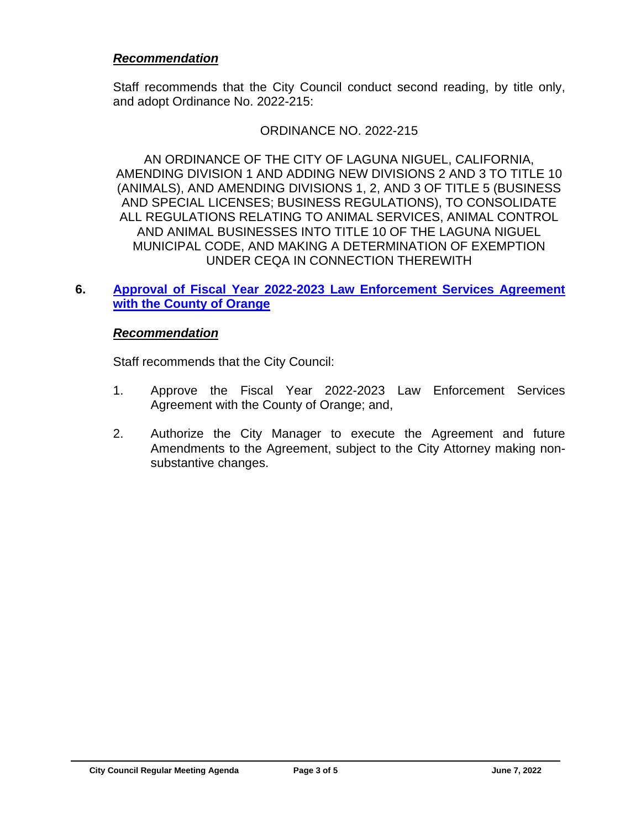#### *Recommendation*

Staff recommends that the City Council conduct second reading, by title only, and adopt Ordinance No. 2022-215:

#### ORDINANCE NO. 2022-215

AN ORDINANCE OF THE CITY OF LAGUNA NIGUEL, CALIFORNIA, AMENDING DIVISION 1 AND ADDING NEW DIVISIONS 2 AND 3 TO TITLE 10 (ANIMALS), AND AMENDING DIVISIONS 1, 2, AND 3 OF TITLE 5 (BUSINESS AND SPECIAL LICENSES; BUSINESS REGULATIONS), TO CONSOLIDATE ALL REGULATIONS RELATING TO ANIMAL SERVICES, ANIMAL CONTROL AND ANIMAL BUSINESSES INTO TITLE 10 OF THE LAGUNA NIGUEL MUNICIPAL CODE, AND MAKING A DETERMINATION OF EXEMPTION UNDER CEQA IN CONNECTION THEREWITH

## **6. [Approval of Fiscal Year 2022-2023 Law](https://www.cityoflagunaniguel.org/DocumentCenter/View/22830/20220607_06_LawEnforcementServices) Enforcement Services Agreement [with the County of Orange](https://www.cityoflagunaniguel.org/DocumentCenter/View/22830/20220607_06_LawEnforcementServices)**

#### *Recommendation*

Staff recommends that the City Council:

- 1. Approve the Fiscal Year 2022-2023 Law Enforcement Services Agreement with the County of Orange; and,
- 2. Authorize the City Manager to execute the Agreement and future Amendments to the Agreement, subject to the City Attorney making nonsubstantive changes.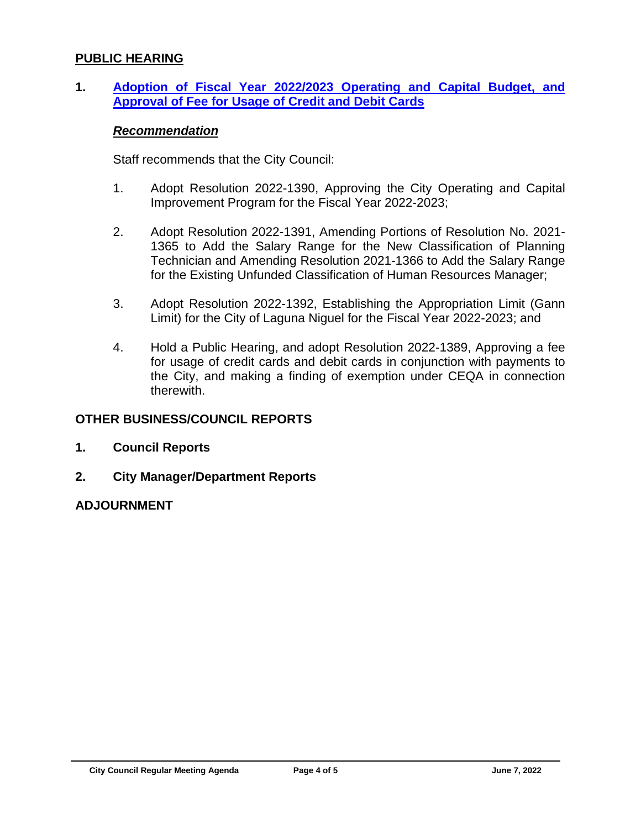#### **PUBLIC HEARING**

**1. [Adoption of Fiscal Year 2022/2023 Operating and Capital Budget, and](https://www.cityoflagunaniguel.org/DocumentCenter/View/22831/20220607_PH1_Budget)  [Approval of Fee for Usage of Credit and Debit Cards](https://www.cityoflagunaniguel.org/DocumentCenter/View/22831/20220607_PH1_Budget)**

#### *Recommendation*

Staff recommends that the City Council:

- 1. Adopt Resolution 2022-1390, Approving the City Operating and Capital Improvement Program for the Fiscal Year 2022-2023;
- 2. Adopt Resolution 2022-1391, Amending Portions of Resolution No. 2021- 1365 to Add the Salary Range for the New Classification of Planning Technician and Amending Resolution 2021-1366 to Add the Salary Range for the Existing Unfunded Classification of Human Resources Manager;
- 3. Adopt Resolution 2022-1392, Establishing the Appropriation Limit (Gann Limit) for the City of Laguna Niguel for the Fiscal Year 2022-2023; and
- 4. Hold a Public Hearing, and adopt Resolution 2022-1389, Approving a fee for usage of credit cards and debit cards in conjunction with payments to the City, and making a finding of exemption under CEQA in connection therewith.

#### **OTHER BUSINESS/COUNCIL REPORTS**

- **1. Council Reports**
- **2. City Manager/Department Reports**

#### **ADJOURNMENT**